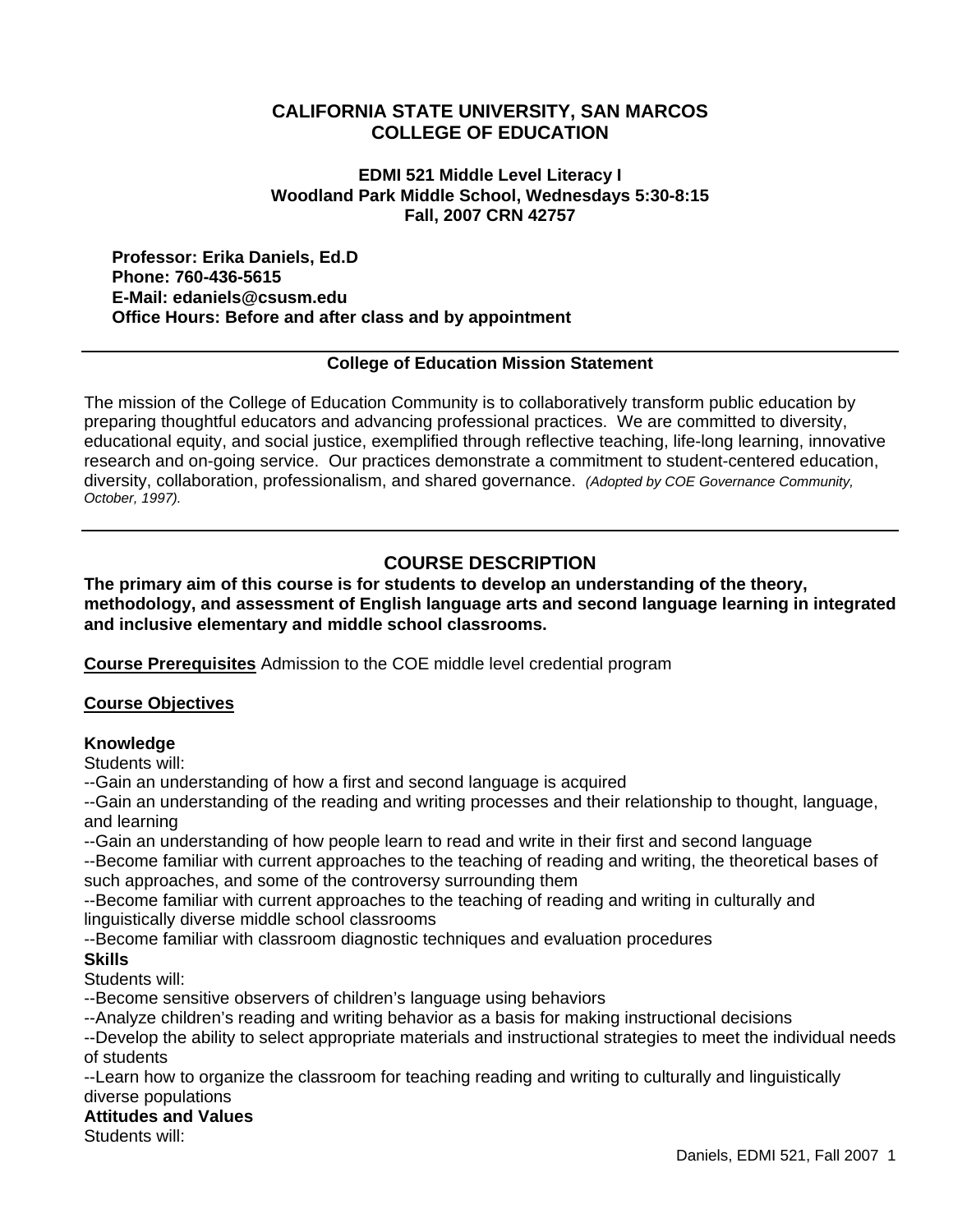# **CALIFORNIA STATE UNIVERSITY, SAN MARCOS COLLEGE OF EDUCATION**

#### **EDMI 521 Middle Level Literacy I Woodland Park Middle School, Wednesdays 5:30-8:15 Fall, 2007 CRN 42757**

**Professor: Erika Daniels, Ed.D Phone: 760-436-5615 E-Mail: edaniels@csusm.edu Office Hours: Before and after class and by appointment**

### **College of Education Mission Statement**

The mission of the College of Education Community is to collaboratively transform public education by preparing thoughtful educators and advancing professional practices. We are committed to diversity, educational equity, and social justice, exemplified through reflective teaching, life-long learning, innovative research and on-going service. Our practices demonstrate a commitment to student-centered education, diversity, collaboration, professionalism, and shared governance. *(Adopted by COE Governance Community, October, 1997).* 

# **COURSE DESCRIPTION**

**The primary aim of this course is for students to develop an understanding of the theory, methodology, and assessment of English language arts and second language learning in integrated and inclusive elementary and middle school classrooms.** 

**Course Prerequisites** Admission to the COE middle level credential program

### **Course Objectives**

### **Knowledge**

Students will:

--Gain an understanding of how a first and second language is acquired

--Gain an understanding of the reading and writing processes and their relationship to thought, language, and learning

--Gain an understanding of how people learn to read and write in their first and second language

--Become familiar with current approaches to the teaching of reading and writing, the theoretical bases of such approaches, and some of the controversy surrounding them

--Become familiar with current approaches to the teaching of reading and writing in culturally and linguistically diverse middle school classrooms

--Become familiar with classroom diagnostic techniques and evaluation procedures

# **Skills**

Students will:

--Become sensitive observers of children's language using behaviors

--Analyze children's reading and writing behavior as a basis for making instructional decisions

--Develop the ability to select appropriate materials and instructional strategies to meet the individual needs of students

--Learn how to organize the classroom for teaching reading and writing to culturally and linguistically diverse populations

#### **Attitudes and Values**

Students will: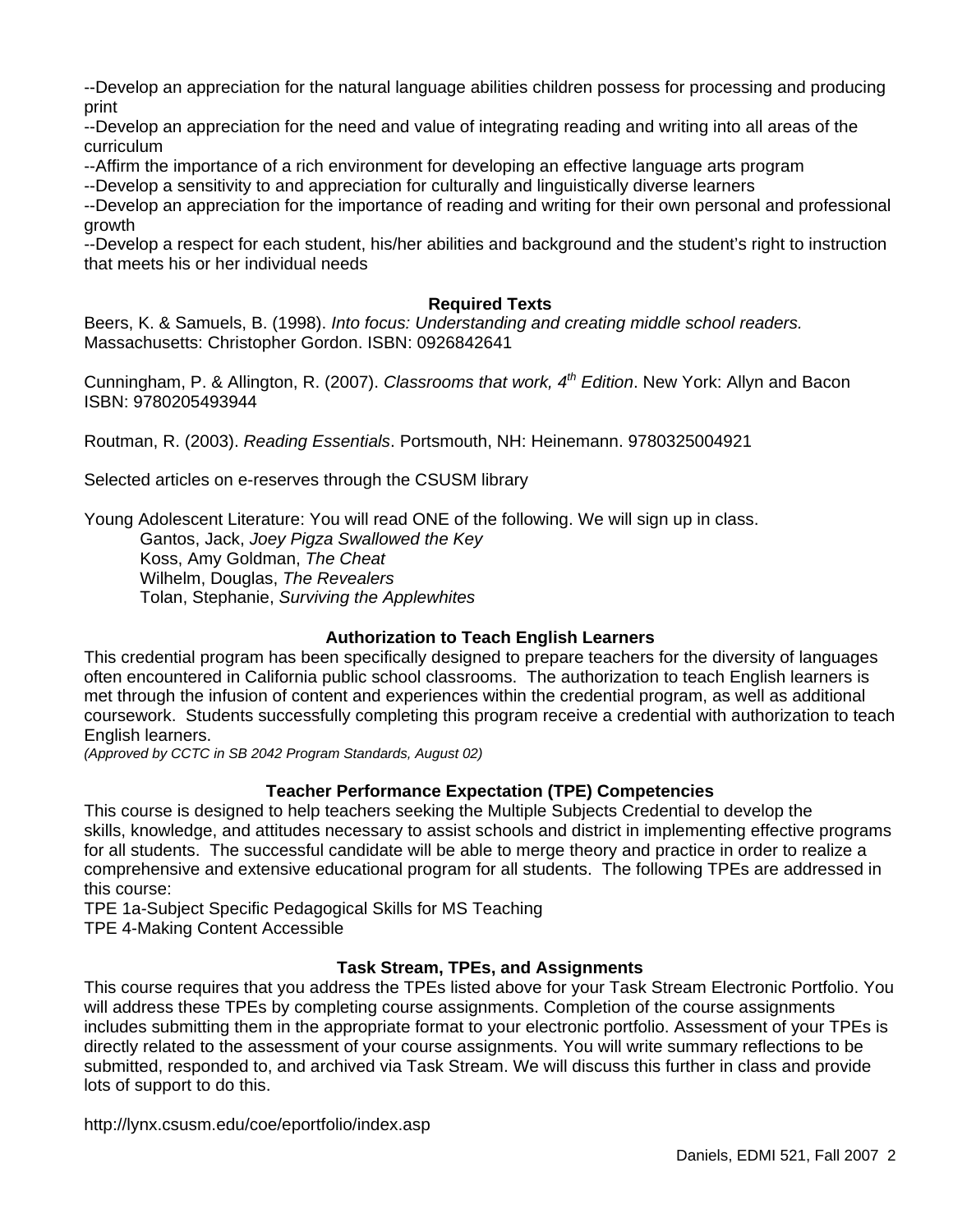--Develop an appreciation for the natural language abilities children possess for processing and producing print

--Develop an appreciation for the need and value of integrating reading and writing into all areas of the curriculum

--Affirm the importance of a rich environment for developing an effective language arts program

--Develop a sensitivity to and appreciation for culturally and linguistically diverse learners

--Develop an appreciation for the importance of reading and writing for their own personal and professional growth

--Develop a respect for each student, his/her abilities and background and the student's right to instruction that meets his or her individual needs

#### **Required Texts**

Beers, K. & Samuels, B. (1998). *Into focus: Understanding and creating middle school readers.* Massachusetts: Christopher Gordon. ISBN: 0926842641

Cunningham, P. & Allington, R. (2007). *Classrooms that work, 4th Edition*. New York: Allyn and Bacon ISBN: 9780205493944

Routman, R. (2003). *Reading Essentials*. Portsmouth, NH: Heinemann. 9780325004921

Selected articles on e-reserves through the CSUSM library

Young Adolescent Literature: You will read ONE of the following. We will sign up in class.

 Gantos, Jack, *Joey Pigza Swallowed the Key* Koss, Amy Goldman, *The Cheat* Wilhelm, Douglas, *The Revealers*  Tolan, Stephanie, *Surviving the Applewhites* 

### **Authorization to Teach English Learners**

This credential program has been specifically designed to prepare teachers for the diversity of languages often encountered in California public school classrooms. The authorization to teach English learners is met through the infusion of content and experiences within the credential program, as well as additional coursework. Students successfully completing this program receive a credential with authorization to teach English learners.

*(Approved by CCTC in SB 2042 Program Standards, August 02)*

### **Teacher Performance Expectation (TPE) Competencies**

This course is designed to help teachers seeking the Multiple Subjects Credential to develop the skills, knowledge, and attitudes necessary to assist schools and district in implementing effective programs for all students. The successful candidate will be able to merge theory and practice in order to realize a comprehensive and extensive educational program for all students. The following TPEs are addressed in this course:

TPE 1a-Subject Specific Pedagogical Skills for MS Teaching TPE 4-Making Content Accessible

### **Task Stream, TPEs, and Assignments**

This course requires that you address the TPEs listed above for your Task Stream Electronic Portfolio. You will address these TPEs by completing course assignments. Completion of the course assignments includes submitting them in the appropriate format to your electronic portfolio. Assessment of your TPEs is directly related to the assessment of your course assignments. You will write summary reflections to be submitted, responded to, and archived via Task Stream. We will discuss this further in class and provide lots of support to do this.

http://lynx.csusm.edu/coe/eportfolio/index.asp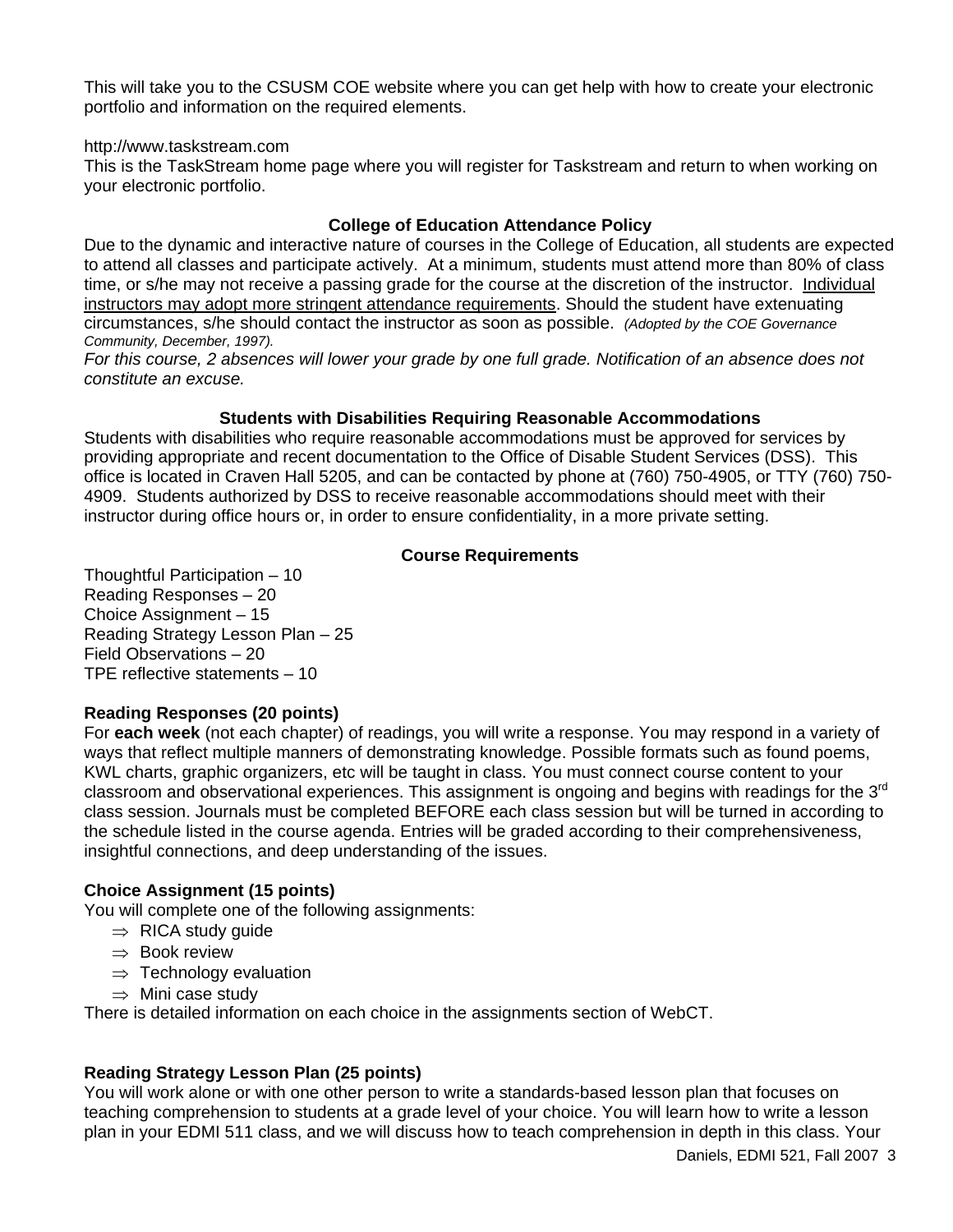This will take you to the CSUSM COE website where you can get help with how to create your electronic portfolio and information on the required elements.

#### http://www.taskstream.com

This is the TaskStream home page where you will register for Taskstream and return to when working on your electronic portfolio.

#### **College of Education Attendance Policy**

Due to the dynamic and interactive nature of courses in the College of Education, all students are expected to attend all classes and participate actively. At a minimum, students must attend more than 80% of class time, or s/he may not receive a passing grade for the course at the discretion of the instructor. Individual instructors may adopt more stringent attendance requirements. Should the student have extenuating circumstances, s/he should contact the instructor as soon as possible. *(Adopted by the COE Governance Community, December, 1997).*

*For this course, 2 absences will lower your grade by one full grade. Notification of an absence does not constitute an excuse.*

#### **Students with Disabilities Requiring Reasonable Accommodations**

Students with disabilities who require reasonable accommodations must be approved for services by providing appropriate and recent documentation to the Office of Disable Student Services (DSS). This office is located in Craven Hall 5205, and can be contacted by phone at (760) 750-4905, or TTY (760) 750- 4909. Students authorized by DSS to receive reasonable accommodations should meet with their instructor during office hours or, in order to ensure confidentiality, in a more private setting.

### **Course Requirements**

Thoughtful Participation – 10 Reading Responses – 20 Choice Assignment – 15 Reading Strategy Lesson Plan – 25 Field Observations – 20 TPE reflective statements – 10

### **Reading Responses (20 points)**

For **each week** (not each chapter) of readings, you will write a response. You may respond in a variety of ways that reflect multiple manners of demonstrating knowledge. Possible formats such as found poems, KWL charts, graphic organizers, etc will be taught in class. You must connect course content to your classroom and observational experiences. This assignment is ongoing and begins with readings for the  $3<sup>rd</sup>$ class session. Journals must be completed BEFORE each class session but will be turned in according to the schedule listed in the course agenda. Entries will be graded according to their comprehensiveness, insightful connections, and deep understanding of the issues.

### **Choice Assignment (15 points)**

You will complete one of the following assignments:

- $\Rightarrow$  RICA study guide
- ⇒ Book review
- $\Rightarrow$  Technology evaluation
- $\Rightarrow$  Mini case study

There is detailed information on each choice in the assignments section of WebCT.

### **Reading Strategy Lesson Plan (25 points)**

You will work alone or with one other person to write a standards-based lesson plan that focuses on teaching comprehension to students at a grade level of your choice. You will learn how to write a lesson plan in your EDMI 511 class, and we will discuss how to teach comprehension in depth in this class. Your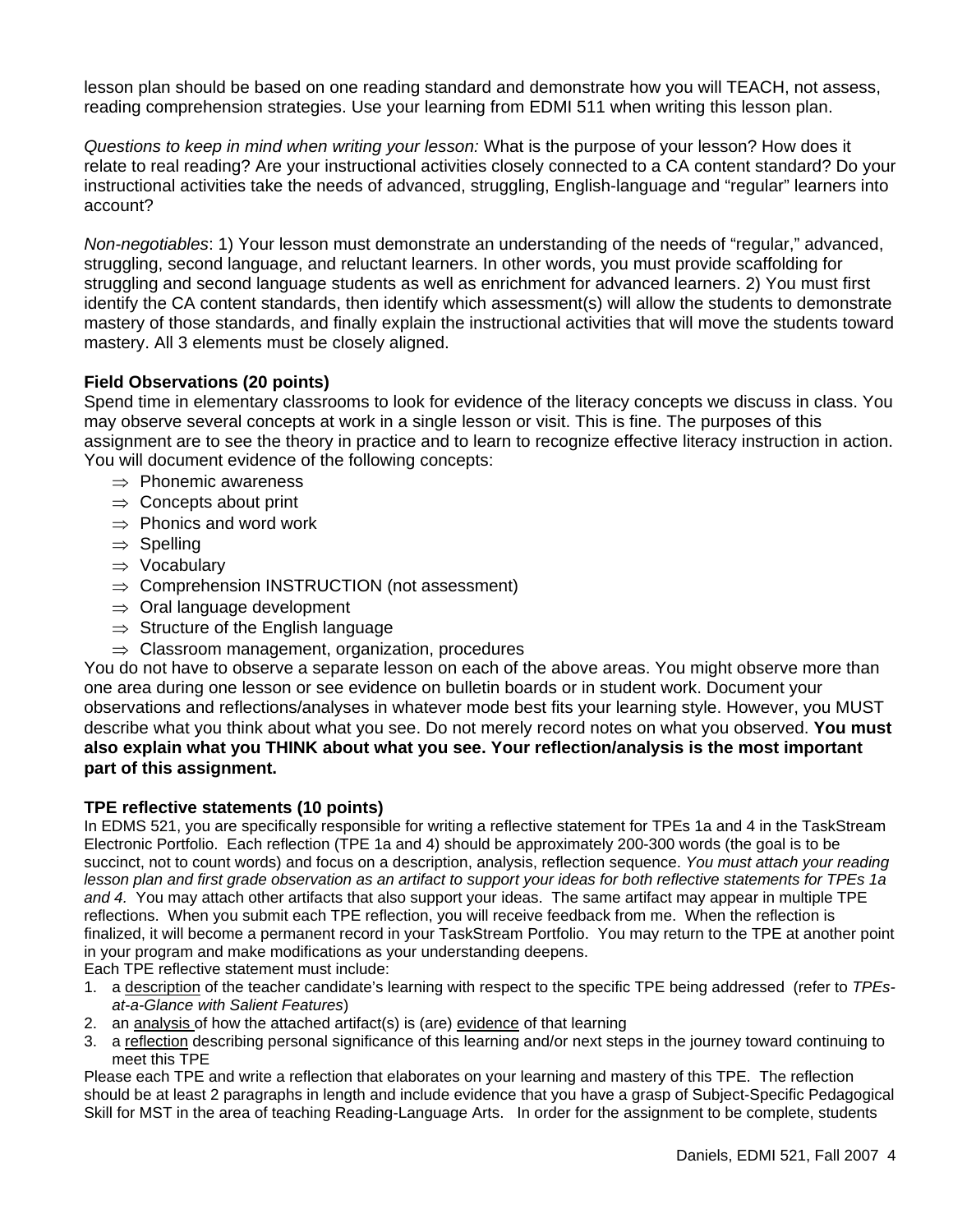lesson plan should be based on one reading standard and demonstrate how you will TEACH, not assess, reading comprehension strategies. Use your learning from EDMI 511 when writing this lesson plan.

*Questions to keep in mind when writing your lesson:* What is the purpose of your lesson? How does it relate to real reading? Are your instructional activities closely connected to a CA content standard? Do your instructional activities take the needs of advanced, struggling, English-language and "regular" learners into account?

*Non-negotiables*: 1) Your lesson must demonstrate an understanding of the needs of "regular," advanced, struggling, second language, and reluctant learners. In other words, you must provide scaffolding for struggling and second language students as well as enrichment for advanced learners. 2) You must first identify the CA content standards, then identify which assessment(s) will allow the students to demonstrate mastery of those standards, and finally explain the instructional activities that will move the students toward mastery. All 3 elements must be closely aligned.

### **Field Observations (20 points)**

Spend time in elementary classrooms to look for evidence of the literacy concepts we discuss in class. You may observe several concepts at work in a single lesson or visit. This is fine. The purposes of this assignment are to see the theory in practice and to learn to recognize effective literacy instruction in action. You will document evidence of the following concepts:

- $\Rightarrow$  Phonemic awareness
- $\Rightarrow$  Concepts about print
- $\Rightarrow$  Phonics and word work
- ⇒ Spelling
- ⇒ Vocabulary
- $\Rightarrow$  Comprehension INSTRUCTION (not assessment)
- $\Rightarrow$  Oral language development
- $\Rightarrow$  Structure of the English language
- $\Rightarrow$  Classroom management, organization, procedures

You do not have to observe a separate lesson on each of the above areas. You might observe more than one area during one lesson or see evidence on bulletin boards or in student work. Document your observations and reflections/analyses in whatever mode best fits your learning style. However, you MUST describe what you think about what you see. Do not merely record notes on what you observed. **You must also explain what you THINK about what you see. Your reflection/analysis is the most important part of this assignment.** 

#### **TPE reflective statements (10 points)**

In EDMS 521, you are specifically responsible for writing a reflective statement for TPEs 1a and 4 in the TaskStream Electronic Portfolio. Each reflection (TPE 1a and 4) should be approximately 200-300 words (the goal is to be succinct, not to count words) and focus on a description, analysis, reflection sequence. *You must attach your reading lesson plan and first grade observation as an artifact to support your ideas for both reflective statements for TPEs 1a and 4.* You may attach other artifacts that also support your ideas. The same artifact may appear in multiple TPE reflections. When you submit each TPE reflection, you will receive feedback from me. When the reflection is finalized, it will become a permanent record in your TaskStream Portfolio. You may return to the TPE at another point in your program and make modifications as your understanding deepens.

Each TPE reflective statement must include:

- 1. a description of the teacher candidate's learning with respect to the specific TPE being addressed (refer to *TPEsat-a-Glance with Salient Features*)
- 2. an analysis of how the attached artifact(s) is (are) evidence of that learning
- 3. a reflection describing personal significance of this learning and/or next steps in the journey toward continuing to meet this TPE

Please each TPE and write a reflection that elaborates on your learning and mastery of this TPE. The reflection should be at least 2 paragraphs in length and include evidence that you have a grasp of Subject-Specific Pedagogical Skill for MST in the area of teaching Reading-Language Arts. In order for the assignment to be complete, students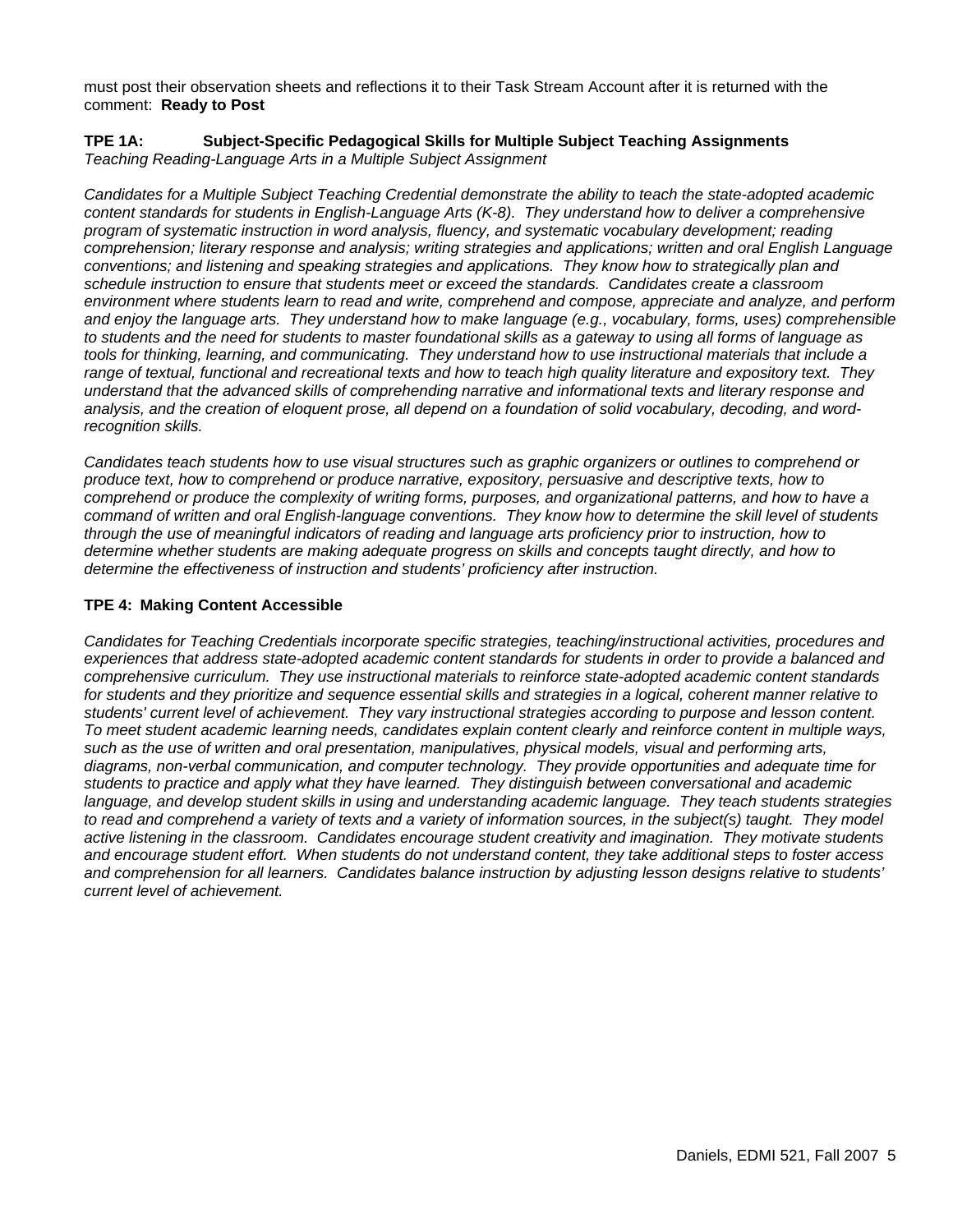must post their observation sheets and reflections it to their Task Stream Account after it is returned with the comment: **Ready to Post**

#### **TPE 1A: Subject-Specific Pedagogical Skills for Multiple Subject Teaching Assignments**  *Teaching Reading-Language Arts in a Multiple Subject Assignment*

*Candidates for a Multiple Subject Teaching Credential demonstrate the ability to teach the state-adopted academic content standards for students in English-Language Arts (K-8). They understand how to deliver a comprehensive program of systematic instruction in word analysis, fluency, and systematic vocabulary development; reading comprehension; literary response and analysis; writing strategies and applications; written and oral English Language conventions; and listening and speaking strategies and applications. They know how to strategically plan and schedule instruction to ensure that students meet or exceed the standards. Candidates create a classroom environment where students learn to read and write, comprehend and compose, appreciate and analyze, and perform and enjoy the language arts. They understand how to make language (e.g., vocabulary, forms, uses) comprehensible to students and the need for students to master foundational skills as a gateway to using all forms of language as tools for thinking, learning, and communicating. They understand how to use instructional materials that include a range of textual, functional and recreational texts and how to teach high quality literature and expository text. They understand that the advanced skills of comprehending narrative and informational texts and literary response and analysis, and the creation of eloquent prose, all depend on a foundation of solid vocabulary, decoding, and wordrecognition skills.* 

*Candidates teach students how to use visual structures such as graphic organizers or outlines to comprehend or produce text, how to comprehend or produce narrative, expository, persuasive and descriptive texts, how to comprehend or produce the complexity of writing forms, purposes, and organizational patterns, and how to have a command of written and oral English-language conventions. They know how to determine the skill level of students through the use of meaningful indicators of reading and language arts proficiency prior to instruction, how to determine whether students are making adequate progress on skills and concepts taught directly, and how to determine the effectiveness of instruction and students' proficiency after instruction.*

#### **TPE 4: Making Content Accessible**

*Candidates for Teaching Credentials incorporate specific strategies, teaching/instructional activities, procedures and*  experiences that address state-adopted academic content standards for students in order to provide a balanced and *comprehensive curriculum. They use instructional materials to reinforce state-adopted academic content standards for students and they prioritize and sequence essential skills and strategies in a logical, coherent manner relative to students' current level of achievement. They vary instructional strategies according to purpose and lesson content. To meet student academic learning needs, candidates explain content clearly and reinforce content in multiple ways, such as the use of written and oral presentation, manipulatives, physical models, visual and performing arts, diagrams, non-verbal communication, and computer technology. They provide opportunities and adequate time for students to practice and apply what they have learned. They distinguish between conversational and academic language, and develop student skills in using and understanding academic language. They teach students strategies*  to read and comprehend a variety of texts and a variety of information sources, in the subject(s) taught. They model *active listening in the classroom. Candidates encourage student creativity and imagination. They motivate students and encourage student effort. When students do not understand content, they take additional steps to foster access and comprehension for all learners. Candidates balance instruction by adjusting lesson designs relative to students' current level of achievement.*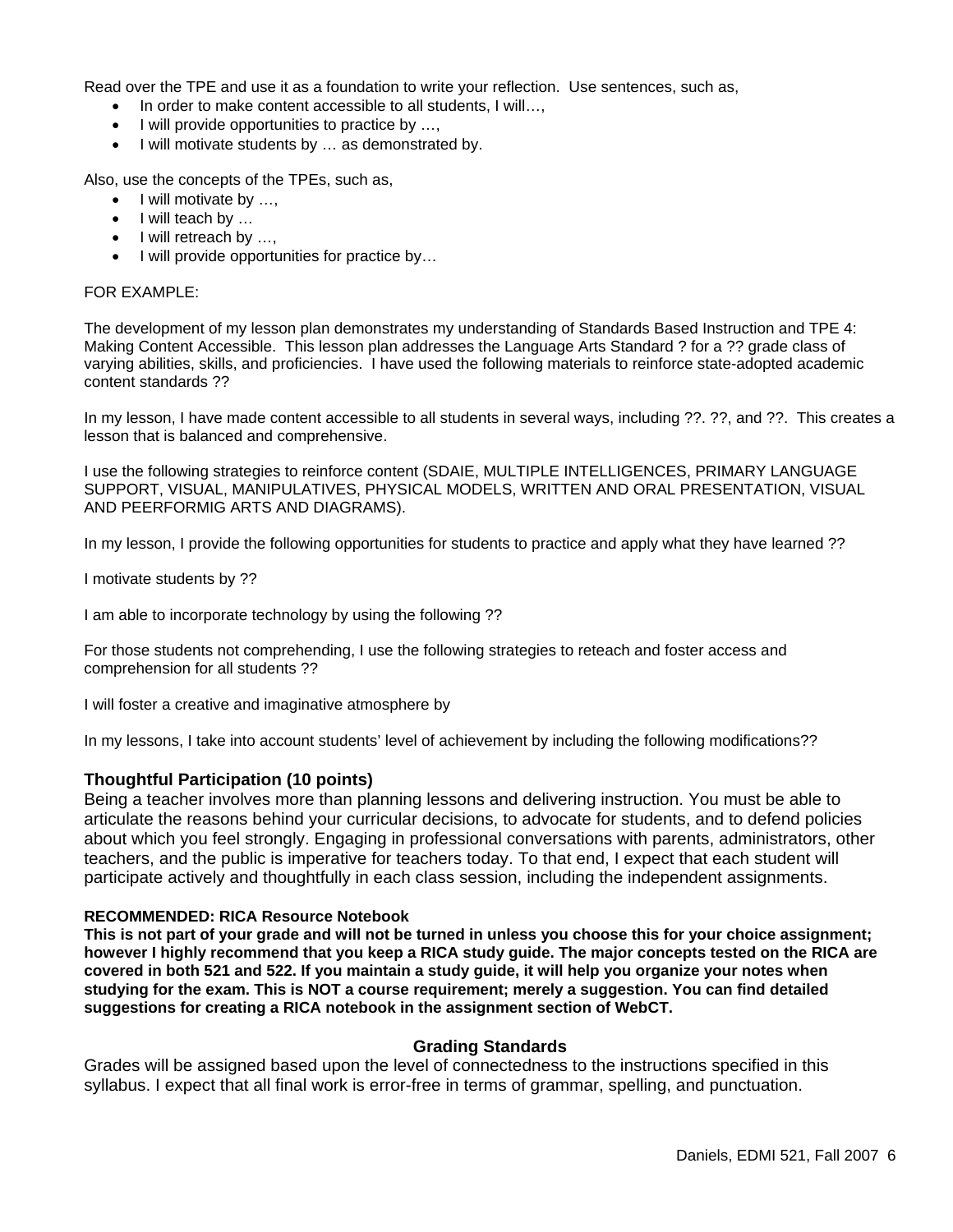Read over the TPE and use it as a foundation to write your reflection. Use sentences, such as,

- In order to make content accessible to all students, I will...,
- I will provide opportunities to practice by ...,
- I will motivate students by … as demonstrated by.

Also, use the concepts of the TPEs, such as,

- I will motivate by ...,
- I will teach by ...
- I will retreach by ...,
- I will provide opportunities for practice by…

#### FOR EXAMPLE:

The development of my lesson plan demonstrates my understanding of Standards Based Instruction and TPE 4: Making Content Accessible. This lesson plan addresses the Language Arts Standard ? for a ?? grade class of varying abilities, skills, and proficiencies. I have used the following materials to reinforce state-adopted academic content standards ??

In my lesson, I have made content accessible to all students in several ways, including ??. ??, and ??. This creates a lesson that is balanced and comprehensive.

I use the following strategies to reinforce content (SDAIE, MULTIPLE INTELLIGENCES, PRIMARY LANGUAGE SUPPORT, VISUAL, MANIPULATIVES, PHYSICAL MODELS, WRITTEN AND ORAL PRESENTATION, VISUAL AND PEERFORMIG ARTS AND DIAGRAMS).

In my lesson, I provide the following opportunities for students to practice and apply what they have learned ??

I motivate students by ??

I am able to incorporate technology by using the following ??

For those students not comprehending, I use the following strategies to reteach and foster access and comprehension for all students ??

I will foster a creative and imaginative atmosphere by

In my lessons, I take into account students' level of achievement by including the following modifications??

#### **Thoughtful Participation (10 points)**

Being a teacher involves more than planning lessons and delivering instruction. You must be able to articulate the reasons behind your curricular decisions, to advocate for students, and to defend policies about which you feel strongly. Engaging in professional conversations with parents, administrators, other teachers, and the public is imperative for teachers today. To that end, I expect that each student will participate actively and thoughtfully in each class session, including the independent assignments.

#### **RECOMMENDED: RICA Resource Notebook**

**This is not part of your grade and will not be turned in unless you choose this for your choice assignment; however I highly recommend that you keep a RICA study guide. The major concepts tested on the RICA are covered in both 521 and 522. If you maintain a study guide, it will help you organize your notes when studying for the exam. This is NOT a course requirement; merely a suggestion. You can find detailed suggestions for creating a RICA notebook in the assignment section of WebCT.**

#### **Grading Standards**

Grades will be assigned based upon the level of connectedness to the instructions specified in this syllabus. I expect that all final work is error-free in terms of grammar, spelling, and punctuation.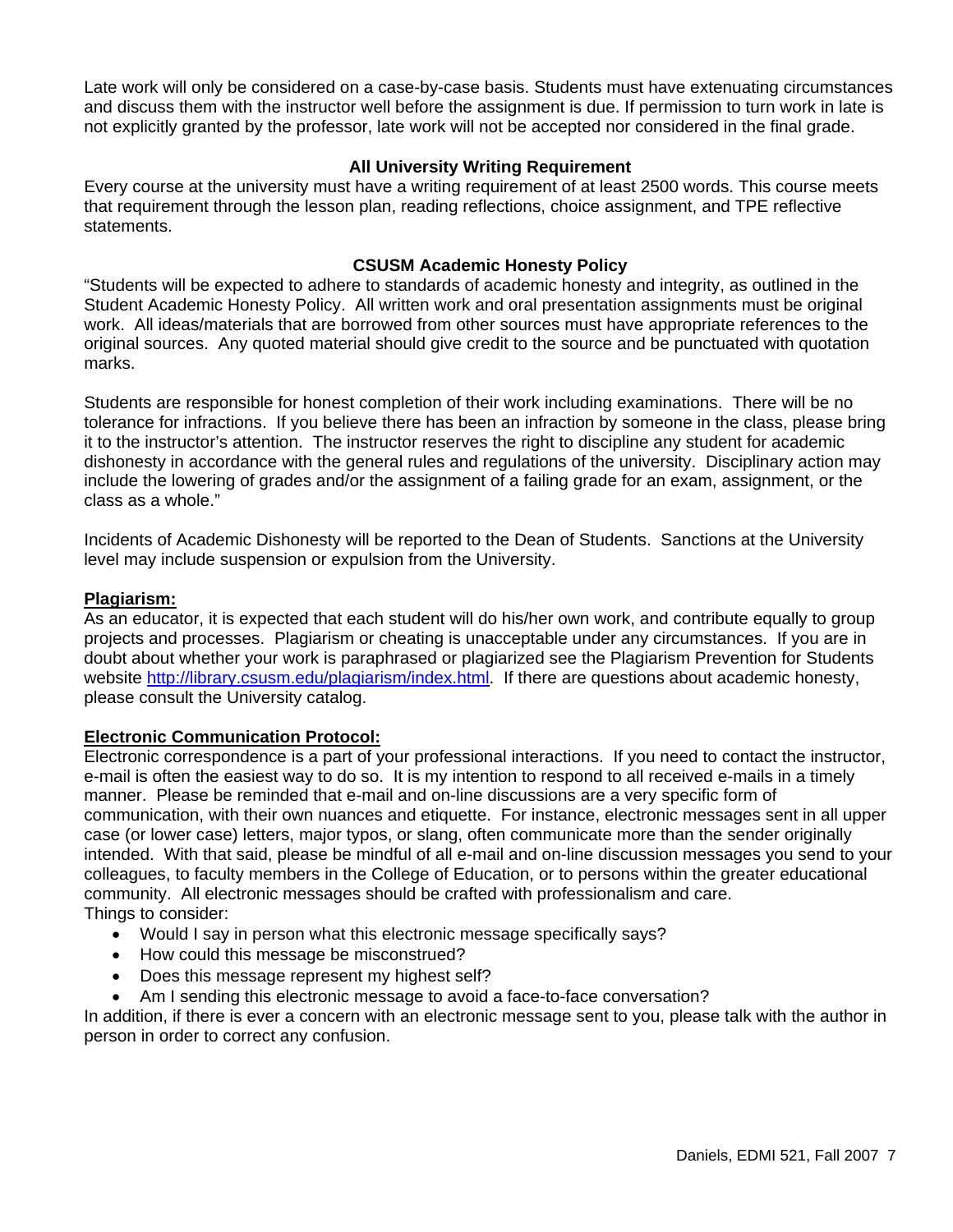Late work will only be considered on a case-by-case basis. Students must have extenuating circumstances and discuss them with the instructor well before the assignment is due. If permission to turn work in late is not explicitly granted by the professor, late work will not be accepted nor considered in the final grade.

### **All University Writing Requirement**

Every course at the university must have a writing requirement of at least 2500 words. This course meets that requirement through the lesson plan, reading reflections, choice assignment, and TPE reflective statements.

#### **CSUSM Academic Honesty Policy**

"Students will be expected to adhere to standards of academic honesty and integrity, as outlined in the Student Academic Honesty Policy. All written work and oral presentation assignments must be original work. All ideas/materials that are borrowed from other sources must have appropriate references to the original sources. Any quoted material should give credit to the source and be punctuated with quotation marks.

Students are responsible for honest completion of their work including examinations. There will be no tolerance for infractions. If you believe there has been an infraction by someone in the class, please bring it to the instructor's attention. The instructor reserves the right to discipline any student for academic dishonesty in accordance with the general rules and regulations of the university. Disciplinary action may include the lowering of grades and/or the assignment of a failing grade for an exam, assignment, or the class as a whole."

Incidents of Academic Dishonesty will be reported to the Dean of Students. Sanctions at the University level may include suspension or expulsion from the University.

#### **Plagiarism:**

As an educator, it is expected that each student will do his/her own work, and contribute equally to group projects and processes. Plagiarism or cheating is unacceptable under any circumstances. If you are in doubt about whether your work is paraphrased or plagiarized see the Plagiarism Prevention for Students website http://library.csusm.edu/plagiarism/index.html. If there are questions about academic honesty, please consult the University catalog.

#### **Electronic Communication Protocol:**

Electronic correspondence is a part of your professional interactions. If you need to contact the instructor, e-mail is often the easiest way to do so. It is my intention to respond to all received e-mails in a timely manner. Please be reminded that e-mail and on-line discussions are a very specific form of communication, with their own nuances and etiquette. For instance, electronic messages sent in all upper case (or lower case) letters, major typos, or slang, often communicate more than the sender originally intended. With that said, please be mindful of all e-mail and on-line discussion messages you send to your colleagues, to faculty members in the College of Education, or to persons within the greater educational community. All electronic messages should be crafted with professionalism and care. Things to consider:

- Would I say in person what this electronic message specifically says?
- How could this message be misconstrued?
- Does this message represent my highest self?
- Am I sending this electronic message to avoid a face-to-face conversation?

In addition, if there is ever a concern with an electronic message sent to you, please talk with the author in person in order to correct any confusion.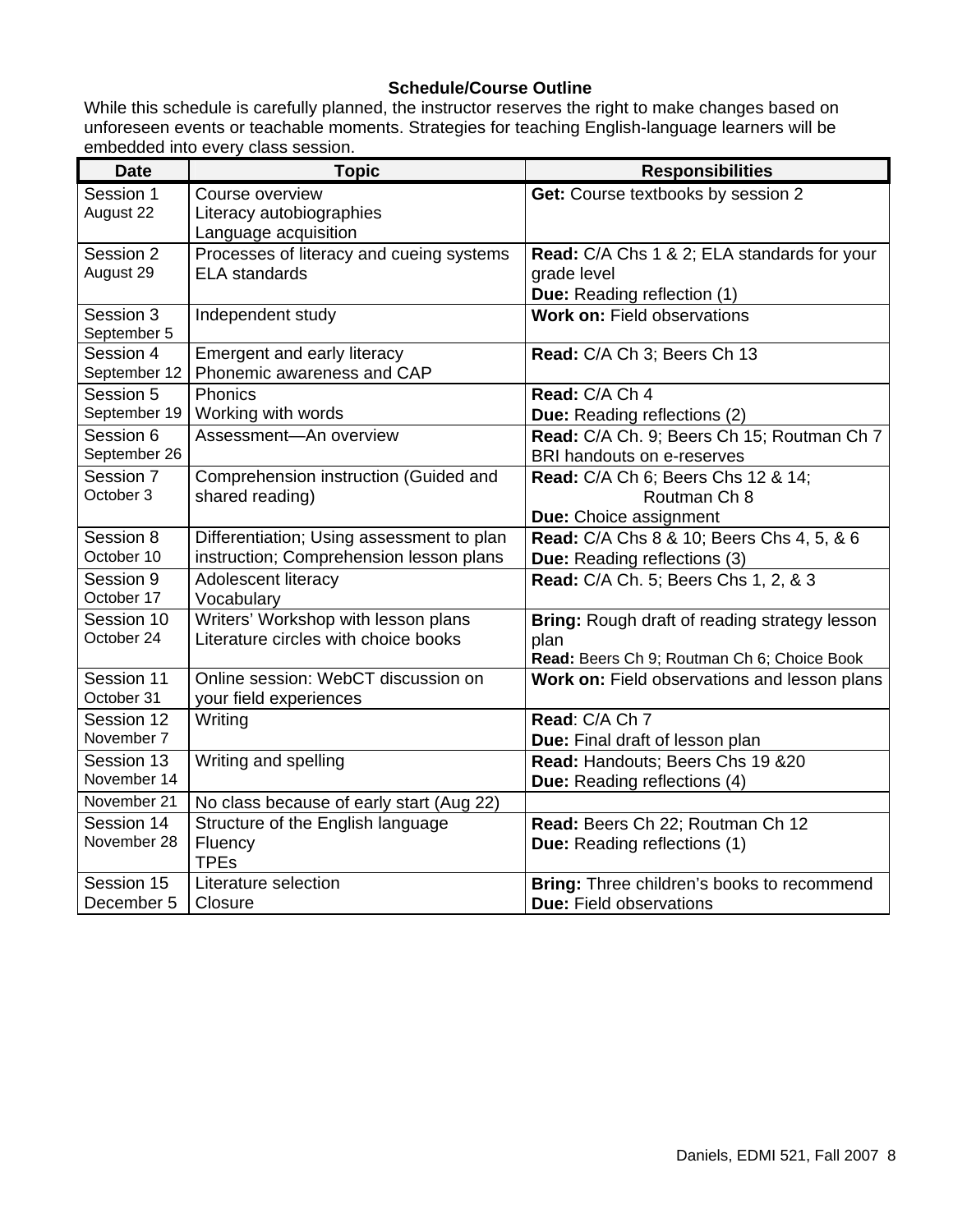# **Schedule/Course Outline**

While this schedule is carefully planned, the instructor reserves the right to make changes based on unforeseen events or teachable moments. Strategies for teaching English-language learners will be embedded into every class session.

| <b>Date</b>              | <b>Topic</b>                                      | <b>Responsibilities</b>                                           |
|--------------------------|---------------------------------------------------|-------------------------------------------------------------------|
| Session 1                | Course overview                                   | Get: Course textbooks by session 2                                |
| August 22                | Literacy autobiographies                          |                                                                   |
|                          | Language acquisition                              |                                                                   |
| Session 2                | Processes of literacy and cueing systems          | Read: C/A Chs 1 & 2; ELA standards for your                       |
| August 29                | <b>ELA</b> standards                              | grade level                                                       |
| Session 3                | Independent study                                 | Due: Reading reflection (1)<br><b>Work on: Field observations</b> |
| September 5              |                                                   |                                                                   |
| Session 4                | Emergent and early literacy                       | Read: C/A Ch 3; Beers Ch 13                                       |
| September 12             | Phonemic awareness and CAP                        |                                                                   |
| Session 5                | Phonics                                           | Read: C/A Ch 4                                                    |
| September 19             | Working with words                                | Due: Reading reflections (2)                                      |
| Session 6                | Assessment-An overview                            | Read: C/A Ch. 9; Beers Ch 15; Routman Ch 7                        |
| September 26             |                                                   | <b>BRI handouts on e-reserves</b>                                 |
| Session 7                | Comprehension instruction (Guided and             | Read: C/A Ch 6; Beers Chs 12 & 14;                                |
| October 3                | shared reading)                                   | Routman Ch 8                                                      |
|                          |                                                   | Due: Choice assignment                                            |
| Session 8                | Differentiation; Using assessment to plan         | Read: C/A Chs 8 & 10; Beers Chs 4, 5, & 6                         |
| October 10               | instruction; Comprehension lesson plans           | Due: Reading reflections (3)                                      |
| Session 9                | Adolescent literacy                               | Read: C/A Ch. 5; Beers Chs 1, 2, & 3                              |
| October 17<br>Session 10 | Vocabulary<br>Writers' Workshop with lesson plans |                                                                   |
| October 24               | Literature circles with choice books              | Bring: Rough draft of reading strategy lesson<br>plan             |
|                          |                                                   | Read: Beers Ch 9; Routman Ch 6; Choice Book                       |
| Session 11               | Online session: WebCT discussion on               | Work on: Field observations and lesson plans                      |
| October 31               | your field experiences                            |                                                                   |
| Session 12               | Writing                                           | Read: C/A Ch 7                                                    |
| November 7               |                                                   | Due: Final draft of lesson plan                                   |
| Session 13               | Writing and spelling                              | Read: Handouts; Beers Chs 19 &20                                  |
| November 14              |                                                   | <b>Due:</b> Reading reflections (4)                               |
| November 21              | No class because of early start (Aug 22)          |                                                                   |
| Session 14               | Structure of the English language                 | Read: Beers Ch 22; Routman Ch 12                                  |
| November 28              | Fluency                                           | Due: Reading reflections (1)                                      |
|                          | <b>TPEs</b>                                       |                                                                   |
| Session 15               | Literature selection                              | Bring: Three children's books to recommend                        |
| December 5               | Closure                                           | <b>Due: Field observations</b>                                    |